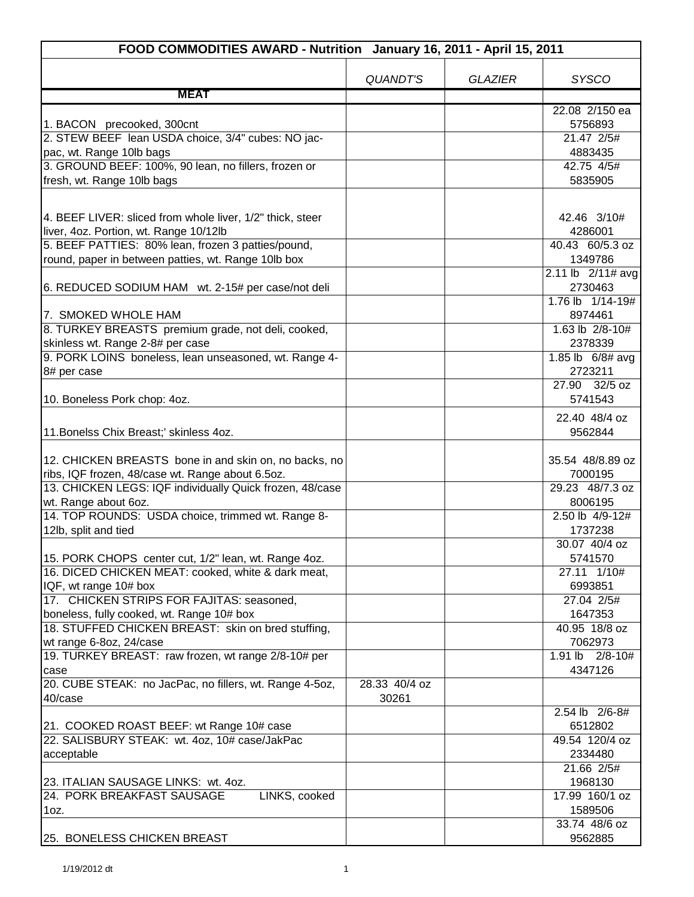| FOOD COMMODITIES AWARD - Nutrition January 16, 2011 - April 15, 2011                                                                                                                                             |                        |                |                                                           |
|------------------------------------------------------------------------------------------------------------------------------------------------------------------------------------------------------------------|------------------------|----------------|-----------------------------------------------------------|
|                                                                                                                                                                                                                  | <b>QUANDT'S</b>        | <b>GLAZIER</b> | <b>SYSCO</b>                                              |
| <b>MEAT</b>                                                                                                                                                                                                      |                        |                |                                                           |
| 1. BACON precooked, 300cnt<br>2. STEW BEEF lean USDA choice, 3/4" cubes: NO jac-                                                                                                                                 |                        |                | 22.08 2/150 ea<br>5756893<br>21.47 2/5#                   |
| pac, wt. Range 10lb bags                                                                                                                                                                                         |                        |                | 4883435                                                   |
| 3. GROUND BEEF: 100%, 90 lean, no fillers, frozen or                                                                                                                                                             |                        |                | 42.75 4/5#<br>5835905                                     |
| fresh, wt. Range 10lb bags                                                                                                                                                                                       |                        |                |                                                           |
| 4. BEEF LIVER: sliced from whole liver, 1/2" thick, steer<br>liver, 4oz. Portion, wt. Range 10/12lb<br>5. BEEF PATTIES: 80% lean, frozen 3 patties/pound,<br>round, paper in between patties, wt. Range 10lb box |                        |                | 42.46 3/10#<br>4286001<br>40.43 60/5.3 oz<br>1349786      |
| 6. REDUCED SODIUM HAM wt. 2-15# per case/not deli                                                                                                                                                                |                        |                | 2.11 lb 2/11# avg<br>2730463                              |
| 7. SMOKED WHOLE HAM<br>8. TURKEY BREASTS premium grade, not deli, cooked,<br>skinless wt. Range 2-8# per case                                                                                                    |                        |                | 1.76 lb 1/14-19#<br>8974461<br>1.63 lb 2/8-10#<br>2378339 |
| 9. PORK LOINS boneless, lean unseasoned, wt. Range 4-<br>8# per case                                                                                                                                             |                        |                | 1.85 lb 6/8# avg<br>2723211                               |
| 10. Boneless Pork chop: 4oz.                                                                                                                                                                                     |                        |                | 27.90 32/5 oz<br>5741543                                  |
| 11. Bonelss Chix Breast;' skinless 4oz.                                                                                                                                                                          |                        |                | 22.40 48/4 oz<br>9562844                                  |
| 12. CHICKEN BREASTS bone in and skin on, no backs, no<br>ribs, IQF frozen, 48/case wt. Range about 6.5oz.<br>13. CHICKEN LEGS: IQF individually Quick frozen, 48/case                                            |                        |                | 35.54 48/8.89 oz<br>7000195<br>29.23 48/7.3 oz            |
| wt. Range about 6oz.                                                                                                                                                                                             |                        |                | 8006195                                                   |
| 14. TOP ROUNDS: USDA choice, trimmed wt. Range 8-<br>12lb, split and tied                                                                                                                                        |                        |                | 2.50 lb 4/9-12#<br>1737238                                |
| 15. PORK CHOPS center cut, 1/2" lean, wt. Range 4oz.                                                                                                                                                             |                        |                | 30.07 40/4 oz<br>5741570                                  |
| 16. DICED CHICKEN MEAT: cooked, white & dark meat,<br>IQF, wt range 10# box                                                                                                                                      |                        |                | 27.11 1/10#<br>6993851                                    |
| 17. CHICKEN STRIPS FOR FAJITAS: seasoned,<br>boneless, fully cooked, wt. Range 10# box                                                                                                                           |                        |                | 27.04 2/5#<br>1647353                                     |
| 18. STUFFED CHICKEN BREAST: skin on bred stuffing,<br>wt range 6-8oz, 24/case                                                                                                                                    |                        |                | 40.95 18/8 oz<br>7062973                                  |
| 19. TURKEY BREAST: raw frozen, wt range 2/8-10# per<br>case                                                                                                                                                      |                        |                | 1.91 lb 2/8-10#<br>4347126                                |
| 20. CUBE STEAK: no JacPac, no fillers, wt. Range 4-5oz,<br>40/case                                                                                                                                               | 28.33 40/4 oz<br>30261 |                | 2.54 lb 2/6-8#                                            |
| 21. COOKED ROAST BEEF: wt Range 10# case                                                                                                                                                                         |                        |                | 6512802                                                   |
| 22. SALISBURY STEAK: wt. 4oz, 10# case/JakPac                                                                                                                                                                    |                        |                | 49.54 120/4 oz<br>2334480                                 |
| acceptable                                                                                                                                                                                                       |                        |                | 21.66 2/5#                                                |
| 23. ITALIAN SAUSAGE LINKS: wt. 4oz.<br>24. PORK BREAKFAST SAUSAGE<br>LINKS, cooked<br>1oz.                                                                                                                       |                        |                | 1968130<br>17.99 160/1 oz<br>1589506                      |
| 25. BONELESS CHICKEN BREAST                                                                                                                                                                                      |                        |                | 33.74 48/6 oz<br>9562885                                  |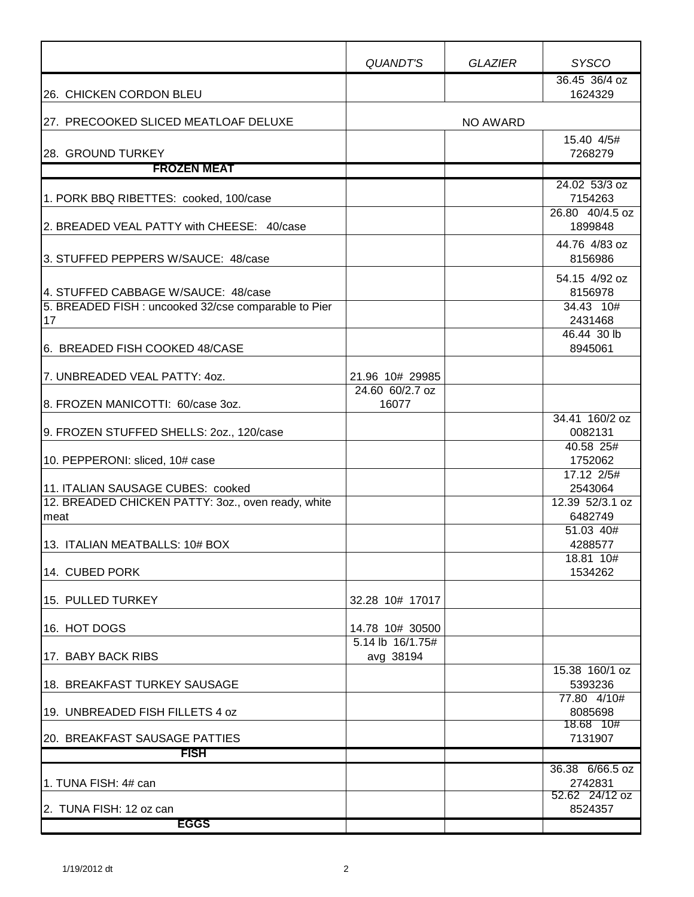|                                                            | QUANDT'S                            | <b>GLAZIER</b> | <b>SYSCO</b>                                |
|------------------------------------------------------------|-------------------------------------|----------------|---------------------------------------------|
| 26. CHICKEN CORDON BLEU                                    |                                     |                | 36.45 36/4 oz<br>1624329                    |
| 27. PRECOOKED SLICED MEATLOAF DELUXE                       |                                     | NO AWARD       |                                             |
| 28. GROUND TURKEY                                          |                                     |                | 15.40 4/5#<br>7268279                       |
| <b>FROZEN MEAT</b>                                         |                                     |                |                                             |
| 1. PORK BBQ RIBETTES: cooked, 100/case                     |                                     |                | 24.02 53/3 oz<br>7154263<br>26.80 40/4.5 oz |
| 2. BREADED VEAL PATTY with CHEESE: 40/case                 |                                     |                | 1899848                                     |
| 3. STUFFED PEPPERS W/SAUCE: 48/case                        |                                     |                | 44.76 4/83 oz<br>8156986                    |
| 4. STUFFED CABBAGE W/SAUCE: 48/case                        |                                     |                | 54.15 4/92 oz<br>8156978                    |
| 5. BREADED FISH : uncooked 32/cse comparable to Pier<br>17 |                                     |                | 34.43 10#<br>2431468                        |
| 6. BREADED FISH COOKED 48/CASE                             |                                     |                | 46.44 30 lb<br>8945061                      |
| 7. UNBREADED VEAL PATTY: 40Z.                              | 21.96 10# 29985                     |                |                                             |
| 8. FROZEN MANICOTTI: 60/case 3oz.                          | 24.60 60/2.7 oz<br>16077            |                |                                             |
| 9. FROZEN STUFFED SHELLS: 20z., 120/case                   |                                     |                | 34.41 160/2 oz<br>0082131                   |
| 10. PEPPERONI: sliced, 10# case                            |                                     |                | 40.58 25#<br>1752062                        |
| 11. ITALIAN SAUSAGE CUBES: cooked                          |                                     |                | 17.12 2/5#<br>2543064                       |
| 12. BREADED CHICKEN PATTY: 3oz., oven ready, white<br>meat |                                     |                | 12.39 52/3.1 oz<br>6482749                  |
| 13. ITALIAN MEATBALLS: 10# BOX                             |                                     |                | 51.03 40#<br>4288577                        |
| 14. CUBED PORK                                             |                                     |                | 18.81 10#<br>1534262                        |
| 15. PULLED TURKEY                                          | 32.28 10# 17017                     |                |                                             |
| 16. HOT DOGS                                               | 14.78 10# 30500<br>5.14 lb 16/1.75# |                |                                             |
| 17. BABY BACK RIBS                                         | avg 38194                           |                | 15.38 160/1 oz                              |
| 18. BREAKFAST TURKEY SAUSAGE                               |                                     |                | 5393236<br>77.80 4/10#                      |
| 19. UNBREADED FISH FILLETS 4 oz                            |                                     |                | 8085698<br>18.68 10#                        |
| <b>20. BREAKFAST SAUSAGE PATTIES</b><br><b>FISH</b>        |                                     |                | 7131907                                     |
|                                                            |                                     |                | 36.38 6/66.5 oz                             |
| 1. TUNA FISH: 4# can                                       |                                     |                | 2742831<br>52.62 24/12 oz                   |
| l2.  TUNA FISH: 12 oz can<br><b>EGGS</b>                   |                                     |                | 8524357                                     |
|                                                            |                                     |                |                                             |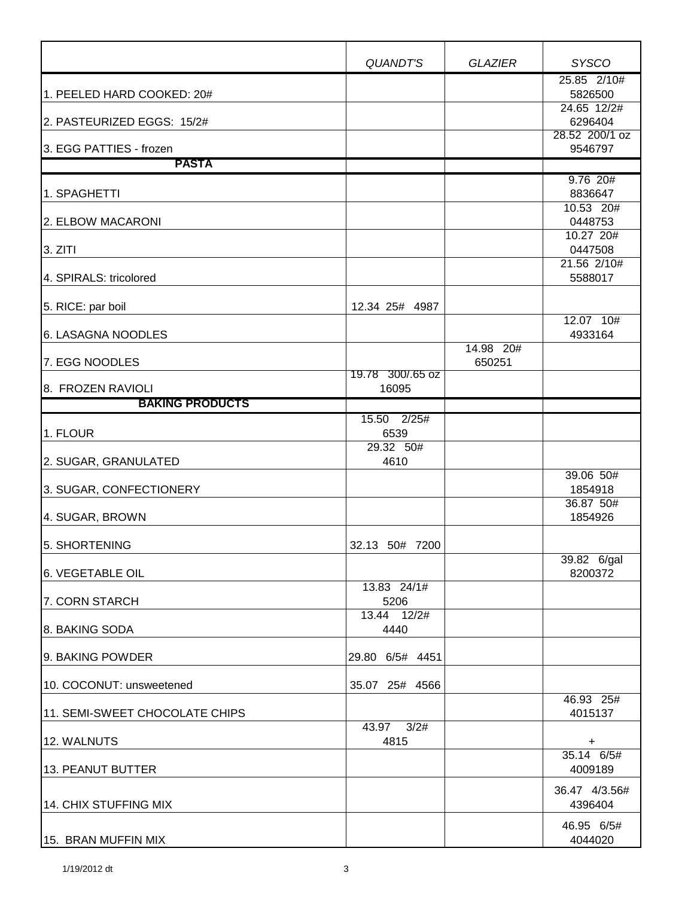|                                             | <b>QUANDT'S</b>           | <b>GLAZIER</b>      | <b>SYSCO</b>              |
|---------------------------------------------|---------------------------|---------------------|---------------------------|
| 1. PEELED HARD COOKED: 20#                  |                           |                     | 25.85 2/10#<br>5826500    |
|                                             |                           |                     | 24.65 12/2#               |
| 2. PASTEURIZED EGGS: 15/2#                  |                           |                     | 6296404<br>28.52 200/1 oz |
| 3. EGG PATTIES - frozen                     |                           |                     | 9546797                   |
| <b>PASTA</b>                                |                           |                     |                           |
| 1. SPAGHETTI                                |                           |                     | $9.76$ 20#<br>8836647     |
| 2. ELBOW MACARONI                           |                           |                     | 10.53 20#<br>0448753      |
| 3. ZITI                                     |                           |                     | 10.27 20#<br>0447508      |
|                                             |                           |                     | 21.56 2/10#               |
| 4. SPIRALS: tricolored                      |                           |                     | 5588017                   |
| 5. RICE: par boil                           | 12.34 25# 4987            |                     |                           |
| 6. LASAGNA NOODLES                          |                           |                     | 12.07 10#<br>4933164      |
| 7. EGG NOODLES                              |                           | 14.98 20#<br>650251 |                           |
|                                             | 19.78 300/.65 oz<br>16095 |                     |                           |
| 8. FROZEN RAVIOLI<br><b>BAKING PRODUCTS</b> |                           |                     |                           |
|                                             | 15.50 2/25#               |                     |                           |
| 1. FLOUR                                    | 6539                      |                     |                           |
| 2. SUGAR, GRANULATED                        | 29.32 50#<br>4610         |                     |                           |
| 3. SUGAR, CONFECTIONERY                     |                           |                     | 39.06 50#<br>1854918      |
| 4. SUGAR, BROWN                             |                           |                     | 36.87 50#<br>1854926      |
|                                             |                           |                     |                           |
| 5. SHORTENING                               | 32.13 50# 7200            |                     | 39.82 6/gal               |
| 6. VEGETABLE OIL                            |                           |                     | 8200372                   |
| 7. CORN STARCH                              | 13.83 24/1#<br>5206       |                     |                           |
|                                             | 13.44 12/2#               |                     |                           |
| 8. BAKING SODA                              | 4440                      |                     |                           |
| 9. BAKING POWDER                            | 29.80 6/5# 4451           |                     |                           |
| 10. COCONUT: unsweetened                    | 35.07 25# 4566            |                     |                           |
| 11. SEMI-SWEET CHOCOLATE CHIPS              |                           |                     | 46.93 25#<br>4015137      |
| 12. WALNUTS                                 | 3/2#<br>43.97<br>4815     |                     | +                         |
| 13. PEANUT BUTTER                           |                           |                     | $35.14$ 6/5#<br>4009189   |
|                                             |                           |                     | 36.47 4/3.56#             |
| 14. CHIX STUFFING MIX                       |                           |                     | 4396404                   |
|                                             |                           |                     | 46.95 6/5#                |
| 15. BRAN MUFFIN MIX                         |                           |                     | 4044020                   |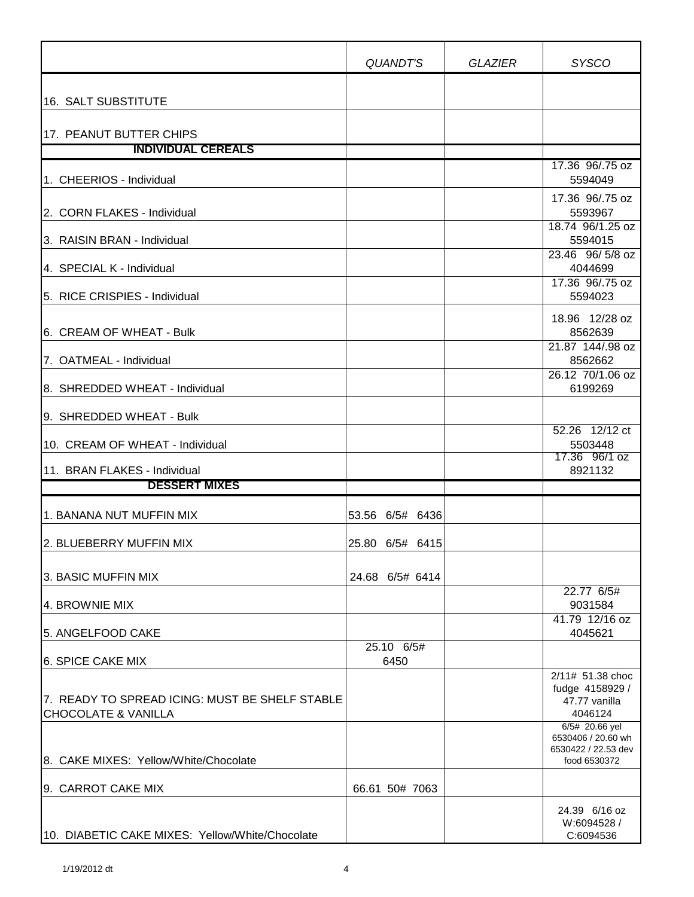|                                                                                  | QUANDT'S           | <b>GLAZIER</b> | <b>SYSCO</b>                                                                |
|----------------------------------------------------------------------------------|--------------------|----------------|-----------------------------------------------------------------------------|
| 16. SALT SUBSTITUTE                                                              |                    |                |                                                                             |
| 17. PEANUT BUTTER CHIPS                                                          |                    |                |                                                                             |
| <b>INDIVIDUAL CEREALS</b>                                                        |                    |                |                                                                             |
| 1. CHEERIOS - Individual                                                         |                    |                | 17.36 96/.75 oz<br>5594049                                                  |
| 2. CORN FLAKES - Individual                                                      |                    |                | 17.36 96/.75 oz<br>5593967                                                  |
| 3. RAISIN BRAN - Individual                                                      |                    |                | 18.74 96/1.25 oz<br>5594015                                                 |
| 4. SPECIAL K - Individual                                                        |                    |                | 23.46 96/5/8 oz<br>4044699<br>17.36 96/.75 oz                               |
| 5. RICE CRISPIES - Individual                                                    |                    |                | 5594023                                                                     |
| 6. CREAM OF WHEAT - Bulk                                                         |                    |                | 18.96 12/28 oz<br>8562639                                                   |
| 7. OATMEAL - Individual                                                          |                    |                | 21.87 144/.98 oz<br>8562662                                                 |
| 8. SHREDDED WHEAT - Individual                                                   |                    |                | 26.12 70/1.06 oz<br>6199269                                                 |
| 9. SHREDDED WHEAT - Bulk                                                         |                    |                | 52.26 12/12 ct                                                              |
| 10. CREAM OF WHEAT - Individual                                                  |                    |                | 5503448<br>17.36 96/1 oz                                                    |
| 11. BRAN FLAKES - Individual<br><b>DESSERT MIXES</b>                             |                    |                | 8921132                                                                     |
|                                                                                  |                    |                |                                                                             |
| 1. BANANA NUT MUFFIN MIX                                                         | 53.56 6/5# 6436    |                |                                                                             |
| 2. BLUEBERRY MUFFIN MIX                                                          | 25.80 6/5# 6415    |                |                                                                             |
| 3. BASIC MUFFIN MIX                                                              | 24.68 6/5# 6414    |                |                                                                             |
| 4. BROWNIE MIX                                                                   |                    |                | 22.77 6/5#<br>9031584<br>41.79 12/16 oz                                     |
| 5. ANGELFOOD CAKE                                                                |                    |                | 4045621                                                                     |
| <b>6. SPICE CAKE MIX</b>                                                         | 25.10 6/5#<br>6450 |                |                                                                             |
| 7. READY TO SPREAD ICING: MUST BE SHELF STABLE<br><b>CHOCOLATE &amp; VANILLA</b> |                    |                | 2/11# 51.38 choc<br>fudge 4158929 /<br>47.77 vanilla<br>4046124             |
| 8. CAKE MIXES: Yellow/White/Chocolate                                            |                    |                | 6/5# 20.66 yel<br>6530406 / 20.60 wh<br>6530422 / 22.53 dev<br>food 6530372 |
| 9. CARROT CAKE MIX                                                               | 66.61 50# 7063     |                |                                                                             |
| 10. DIABETIC CAKE MIXES: Yellow/White/Chocolate                                  |                    |                | 24.39 6/16 oz<br>W:6094528 /<br>C:6094536                                   |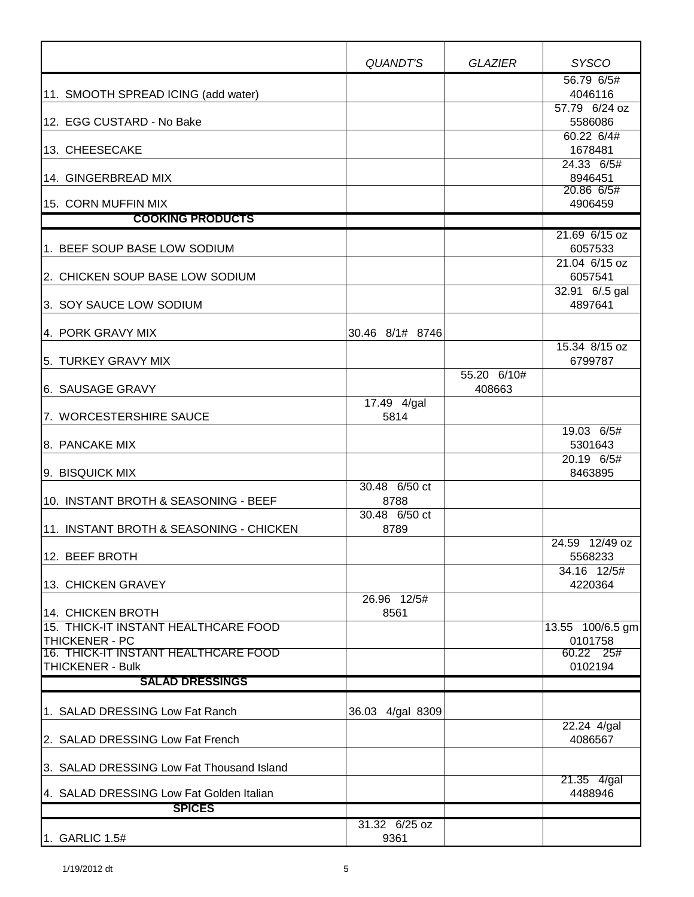|                                                           | QUANDT'S              | <b>GLAZIER</b> | <b>SYSCO</b>              |
|-----------------------------------------------------------|-----------------------|----------------|---------------------------|
|                                                           |                       |                | 56.79 6/5#                |
| 11. SMOOTH SPREAD ICING (add water)                       |                       |                | 4046116<br>57.79 6/24 oz  |
| 12. EGG CUSTARD - No Bake                                 |                       |                | 5586086                   |
|                                                           |                       |                | 60.22 6/4#                |
| 13. CHEESECAKE                                            |                       |                | 1678481                   |
| 14. GINGERBREAD MIX                                       |                       |                | 24.33 6/5#<br>8946451     |
|                                                           |                       |                | 20.86 6/5#                |
| 15. CORN MUFFIN MIX                                       |                       |                | 4906459                   |
| <b>COOKING PRODUCTS</b>                                   |                       |                |                           |
| 1. BEEF SOUP BASE LOW SODIUM                              |                       |                | 21.69 6/15 oz<br>6057533  |
|                                                           |                       |                | 21.04 6/15 oz             |
| 2. CHICKEN SOUP BASE LOW SODIUM                           |                       |                | 6057541                   |
| 3. SOY SAUCE LOW SODIUM                                   |                       |                | 32.91 6/.5 gal<br>4897641 |
|                                                           |                       |                |                           |
| 4. PORK GRAVY MIX                                         | 30.46 8/1# 8746       |                |                           |
| 5. TURKEY GRAVY MIX                                       |                       |                | 15.34 8/15 oz<br>6799787  |
|                                                           |                       | 55.20 6/10#    |                           |
| 6. SAUSAGE GRAVY                                          |                       | 408663         |                           |
|                                                           | 17.49 4/gal           |                |                           |
| 7. WORCESTERSHIRE SAUCE                                   | 5814                  |                | 19.03 6/5#                |
| 8. PANCAKE MIX                                            |                       |                | 5301643                   |
|                                                           |                       |                | 20.19 6/5#                |
| 9. BISQUICK MIX                                           |                       |                | 8463895                   |
| 10. INSTANT BROTH & SEASONING - BEEF                      | 30.48 6/50 ct<br>8788 |                |                           |
|                                                           | 30.48 6/50 ct         |                |                           |
| 11. INSTANT BROTH & SEASONING - CHICKEN                   | 8789                  |                |                           |
| 12. BEEF BROTH                                            |                       |                | 24.59 12/49 oz<br>5568233 |
|                                                           |                       |                | 34.16 12/5#               |
| 13. CHICKEN GRAVEY                                        |                       |                | 4220364                   |
|                                                           | 26.96 12/5#           |                |                           |
| 14. CHICKEN BROTH<br>15. THICK-IT INSTANT HEALTHCARE FOOD | 8561                  |                | 13.55 100/6.5 gm          |
| THICKENER - PC                                            |                       |                | 0101758                   |
| 16. THICK-IT INSTANT HEALTHCARE FOOD                      |                       |                | 60.22 25#                 |
| <b>THICKENER - Bulk</b>                                   |                       |                | 0102194                   |
| <b>SALAD DRESSINGS</b>                                    |                       |                |                           |
| 1. SALAD DRESSING Low Fat Ranch                           | 36.03 4/gal 8309      |                | 22.24 4/gal               |
| 2. SALAD DRESSING Low Fat French                          |                       |                | 4086567                   |
| 3. SALAD DRESSING Low Fat Thousand Island                 |                       |                | 21.35 4/gal               |
| 4. SALAD DRESSING Low Fat Golden Italian                  |                       |                | 4488946                   |
| <b>SPICES</b>                                             |                       |                |                           |
|                                                           | 31.32 6/25 oz         |                |                           |
| 1. GARLIC 1.5#                                            | 9361                  |                |                           |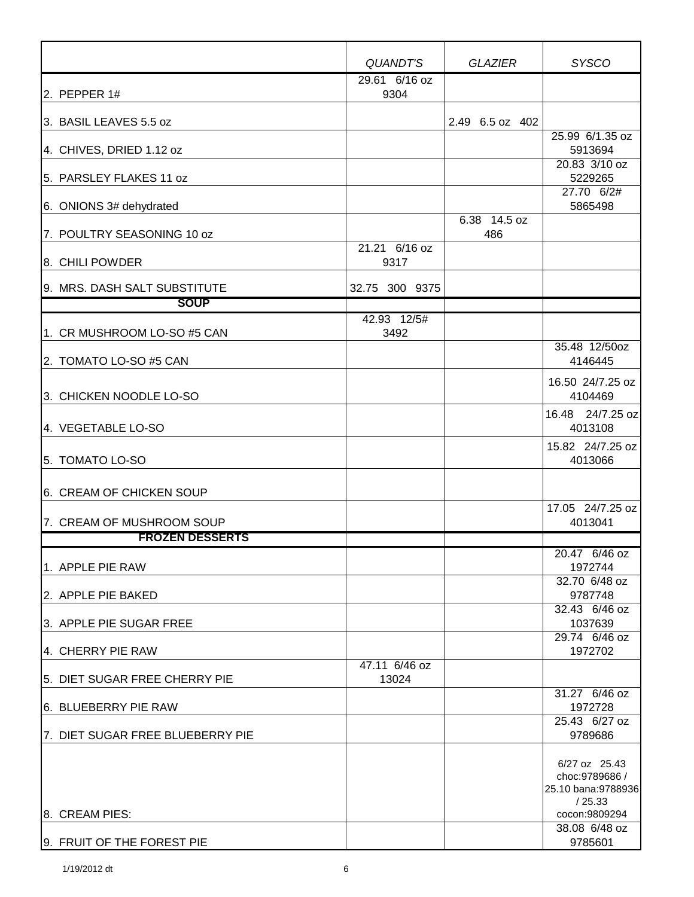|                                  | <b>QUANDT'S</b>        | <b>GLAZIER</b>      | <b>SYSCO</b>                                                     |
|----------------------------------|------------------------|---------------------|------------------------------------------------------------------|
| 2. PEPPER 1#                     | 29.61 6/16 oz<br>9304  |                     |                                                                  |
| 3. BASIL LEAVES 5.5 oz           |                        | 2.49 6.5 oz 402     |                                                                  |
| 4. CHIVES, DRIED 1.12 oz         |                        |                     | 25.99 6/1.35 oz<br>5913694                                       |
| 5. PARSLEY FLAKES 11 oz          |                        |                     | 20.83 3/10 oz<br>5229265<br>27.70 6/2#                           |
| 6. ONIONS 3# dehydrated          |                        |                     | 5865498                                                          |
| 7. POULTRY SEASONING 10 oz       |                        | 6.38 14.5 oz<br>486 |                                                                  |
| 8. CHILI POWDER                  | 21.21 6/16 oz<br>9317  |                     |                                                                  |
| 9. MRS. DASH SALT SUBSTITUTE     | 32.75 300 9375         |                     |                                                                  |
| <b>SOUP</b>                      |                        |                     |                                                                  |
| 1. CR MUSHROOM LO-SO #5 CAN      | 42.93 12/5#<br>3492    |                     |                                                                  |
| 2. TOMATO LO-SO #5 CAN           |                        |                     | 35.48 12/50oz<br>4146445                                         |
| 3. CHICKEN NOODLE LO-SO          |                        |                     | 16.50 24/7.25 oz<br>4104469                                      |
| 4. VEGETABLE LO-SO               |                        |                     | 16.48 24/7.25 oz<br>4013108                                      |
| 5. TOMATO LO-SO                  |                        |                     | 15.82 24/7.25 oz<br>4013066                                      |
| 6. CREAM OF CHICKEN SOUP         |                        |                     |                                                                  |
| 7. CREAM OF MUSHROOM SOUP        |                        |                     | 17.05 24/7.25 oz<br>4013041                                      |
| <b>FROZEN DESSERTS</b>           |                        |                     |                                                                  |
| l1.APPLE PIE RAW                 |                        |                     | 20.47 6/46 oz<br>1972744<br>32.70 6/48 oz                        |
| 2. APPLE PIE BAKED               |                        |                     | 9787748                                                          |
| 3. APPLE PIE SUGAR FREE          |                        |                     | 32.43 6/46 oz<br>1037639                                         |
| 4. CHERRY PIE RAW                |                        |                     | 29.74 6/46 oz<br>1972702                                         |
| 5. DIET SUGAR FREE CHERRY PIE    | 47.11 6/46 oz<br>13024 |                     |                                                                  |
| 6. BLUEBERRY PIE RAW             |                        |                     | 31.27 6/46 oz<br>1972728                                         |
| 7. DIET SUGAR FREE BLUEBERRY PIE |                        |                     | 25.43 6/27 oz<br>9789686                                         |
|                                  |                        |                     | 6/27 oz 25.43<br>choc: 9789686 /<br>25.10 bana:9788936<br>/25.33 |
| 8. CREAM PIES:                   |                        |                     | cocon:9809294                                                    |
| 9. FRUIT OF THE FOREST PIE       |                        |                     | 38.08 6/48 oz<br>9785601                                         |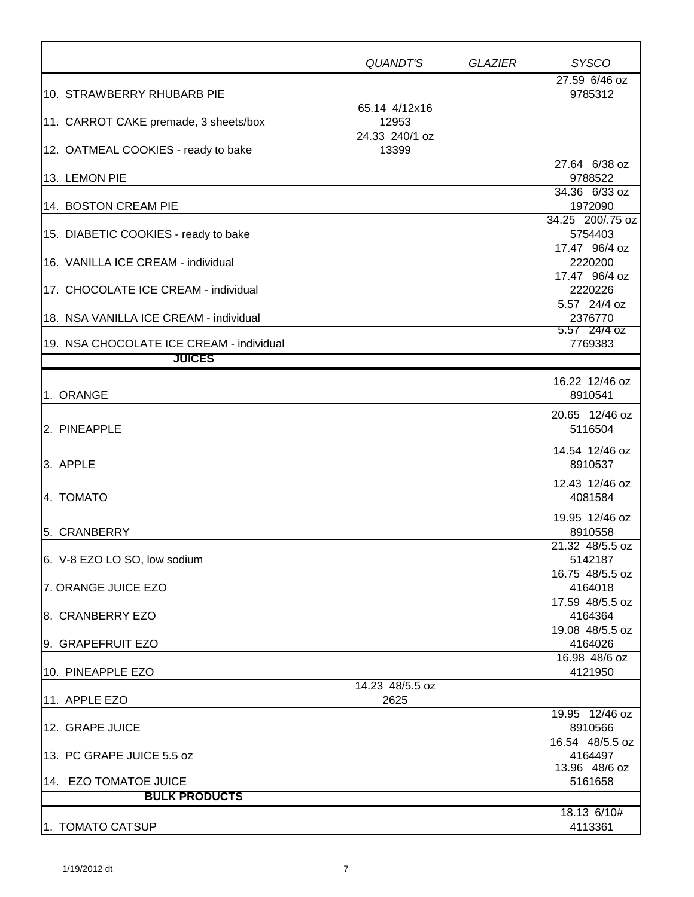|                                          | QUANDT'S                | <b>GLAZIER</b> | <b>SYSCO</b>                 |
|------------------------------------------|-------------------------|----------------|------------------------------|
| 10. STRAWBERRY RHUBARB PIE               |                         |                | 27.59 6/46 oz<br>9785312     |
| 11. CARROT CAKE premade, 3 sheets/box    | 65.14 4/12x16<br>12953  |                |                              |
| 12. OATMEAL COOKIES - ready to bake      | 24.33 240/1 oz<br>13399 |                |                              |
| 13. LEMON PIE                            |                         |                | 27.64 6/38 oz<br>9788522     |
| 14. BOSTON CREAM PIE                     |                         |                | 34.36 6/33 oz<br>1972090     |
| 15. DIABETIC COOKIES - ready to bake     |                         |                | 34.25 200/.75 oz<br>5754403  |
| 16. VANILLA ICE CREAM - individual       |                         |                | 17.47 96/4 oz<br>2220200     |
| 17. CHOCOLATE ICE CREAM - individual     |                         |                | 17.47 96/4 oz<br>2220226     |
| 18. NSA VANILLA ICE CREAM - individual   |                         |                | 5.57 24/4 oz<br>2376770      |
| 19. NSA CHOCOLATE ICE CREAM - individual |                         |                | 5.57 24/4 oz<br>7769383      |
| <b>JUICES</b>                            |                         |                |                              |
| 1. ORANGE                                |                         |                | 16.22 12/46 oz<br>8910541    |
| 2. PINEAPPLE                             |                         |                | 20.65 12/46 oz<br>5116504    |
| 3. APPLE                                 |                         |                | 14.54 12/46 oz<br>8910537    |
| 4. TOMATO                                |                         |                | 12.43 12/46 oz<br>4081584    |
| 5. CRANBERRY                             |                         |                | 19.95 12/46 oz<br>8910558    |
| 6. V-8 EZO LO SO, low sodium             |                         |                | $21.32$ 48/5.5 oz<br>5142187 |
| 7. ORANGE JUICE EZO                      |                         |                | 16.75 48/5.5 oz<br>4164018   |
| 8. CRANBERRY EZO                         |                         |                | 17.59 48/5.5 oz<br>4164364   |
| 9. GRAPEFRUIT EZO                        |                         |                | 19.08 48/5.5 oz<br>4164026   |
| 10. PINEAPPLE EZO                        |                         |                | 16.98 48/6 oz<br>4121950     |
| 11. APPLE EZO                            | 14.23 48/5.5 oz<br>2625 |                |                              |
| 12. GRAPE JUICE                          |                         |                | 19.95 12/46 oz<br>8910566    |
| 13. PC GRAPE JUICE 5.5 oz                |                         |                | 16.54 48/5.5 oz<br>4164497   |
| 14. EZO TOMATOE JUICE                    |                         |                | 13.96 48/6 oz<br>5161658     |
| <b>BULK PRODUCTS</b>                     |                         |                |                              |
| 1. TOMATO CATSUP                         |                         |                | 18.13 6/10#<br>4113361       |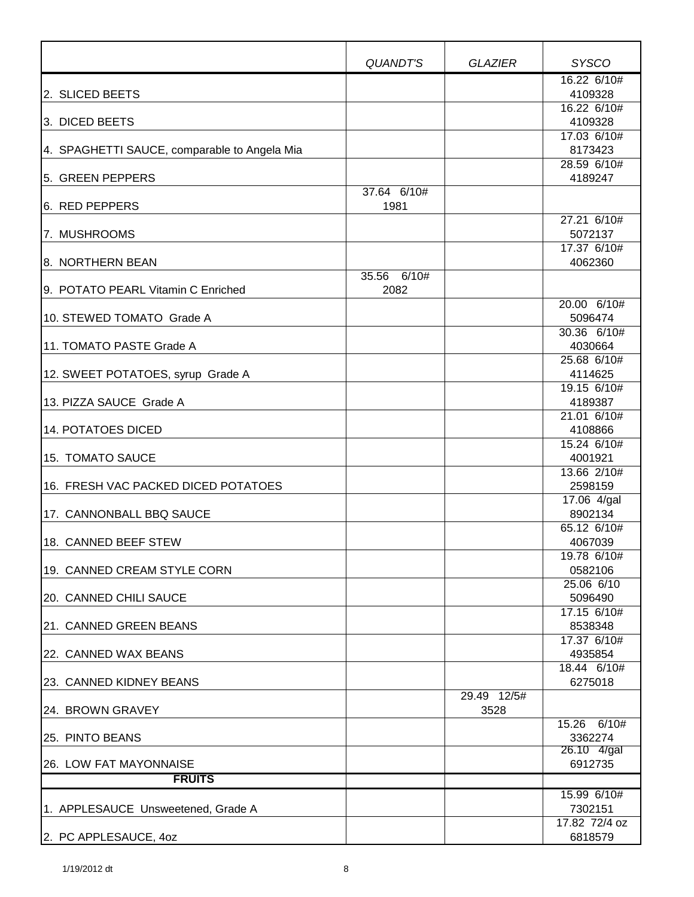|                                              | QUANDT'S            | <b>GLAZIER</b>      | <b>SYSCO</b>           |
|----------------------------------------------|---------------------|---------------------|------------------------|
|                                              |                     |                     | 16.22 6/10#            |
| 2. SLICED BEETS                              |                     |                     | 4109328                |
|                                              |                     |                     | 16.22 6/10#            |
| 3. DICED BEETS                               |                     |                     | 4109328                |
| 4. SPAGHETTI SAUCE, comparable to Angela Mia |                     |                     | 17.03 6/10#<br>8173423 |
|                                              |                     |                     | 28.59 6/10#            |
| 5. GREEN PEPPERS                             |                     |                     | 4189247                |
|                                              | 37.64 6/10#         |                     |                        |
| 6. RED PEPPERS                               | 1981                |                     |                        |
|                                              |                     |                     | 27.21 6/10#            |
| 7. MUSHROOMS                                 |                     |                     | 5072137                |
|                                              |                     |                     | 17.37 6/10#            |
| 8. NORTHERN BEAN                             |                     |                     | 4062360                |
| 9. POTATO PEARL Vitamin C Enriched           | 35.56 6/10#<br>2082 |                     |                        |
|                                              |                     |                     | 20.00 6/10#            |
| 10. STEWED TOMATO Grade A                    |                     |                     | 5096474                |
|                                              |                     |                     | 30.36 6/10#            |
| 11. TOMATO PASTE Grade A                     |                     |                     | 4030664                |
|                                              |                     |                     | 25.68 6/10#            |
| 12. SWEET POTATOES, syrup Grade A            |                     |                     | 4114625                |
|                                              |                     |                     | 19.15 6/10#            |
| 13. PIZZA SAUCE Grade A                      |                     |                     | 4189387                |
|                                              |                     |                     | 21.01 6/10#            |
| <b>14. POTATOES DICED</b>                    |                     |                     | 4108866                |
| 15. TOMATO SAUCE                             |                     |                     | 15.24 6/10#<br>4001921 |
|                                              |                     |                     | 13.66 2/10#            |
| 16. FRESH VAC PACKED DICED POTATOES          |                     |                     | 2598159                |
|                                              |                     |                     | 17.06 4/gal            |
| 17. CANNONBALL BBQ SAUCE                     |                     |                     | 8902134                |
|                                              |                     |                     | 65.12 6/10#            |
| 18. CANNED BEEF STEW                         |                     |                     | 4067039                |
|                                              |                     |                     | 19.78 6/10#            |
| 19. CANNED CREAM STYLE CORN                  |                     |                     | 0582106                |
| 20. CANNED CHILI SAUCE                       |                     |                     | 25.06 6/10<br>5096490  |
|                                              |                     |                     | 17.15 6/10#            |
| 21. CANNED GREEN BEANS                       |                     |                     | 8538348                |
|                                              |                     |                     | 17.37 6/10#            |
| 22. CANNED WAX BEANS                         |                     |                     | 4935854                |
|                                              |                     |                     | 18.44 6/10#            |
| 23. CANNED KIDNEY BEANS                      |                     |                     | 6275018                |
| 24. BROWN GRAVEY                             |                     | 29.49 12/5#<br>3528 |                        |
|                                              |                     |                     | 15.26 6/10#            |
| 25. PINTO BEANS                              |                     |                     | 3362274<br>26.10 4/gal |
| 26. LOW FAT MAYONNAISE                       |                     |                     | 6912735                |
| <b>FRUITS</b>                                |                     |                     |                        |
|                                              |                     |                     | 15.99 6/10#            |
| 1. APPLESAUCE Unsweetened, Grade A           |                     |                     | 7302151                |
|                                              |                     |                     | 17.82 72/4 oz          |
| 2. PC APPLESAUCE, 40Z                        |                     |                     | 6818579                |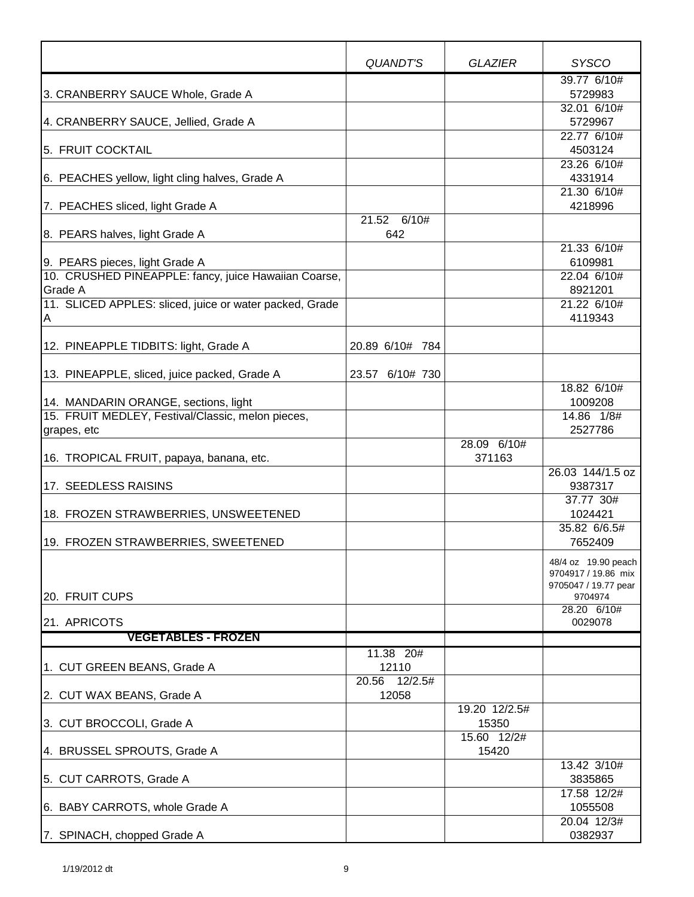|                                                         | QUANDT'S         | <b>GLAZIER</b> | <b>SYSCO</b>                               |
|---------------------------------------------------------|------------------|----------------|--------------------------------------------|
|                                                         |                  |                | 39.77 6/10#                                |
| 3. CRANBERRY SAUCE Whole, Grade A                       |                  |                | 5729983                                    |
|                                                         |                  |                | 32.01 6/10#                                |
| 4. CRANBERRY SAUCE, Jellied, Grade A                    |                  |                | 5729967<br>22.77 6/10#                     |
| 5. FRUIT COCKTAIL                                       |                  |                | 4503124                                    |
|                                                         |                  |                | 23.26 6/10#                                |
| 6. PEACHES yellow, light cling halves, Grade A          |                  |                | 4331914                                    |
|                                                         |                  |                | 21.30 6/10#                                |
| 7. PEACHES sliced, light Grade A                        |                  |                | 4218996                                    |
|                                                         | 21.52 6/10#      |                |                                            |
| 8. PEARS halves, light Grade A                          | 642              |                | 21.33 6/10#                                |
| 9. PEARS pieces, light Grade A                          |                  |                | 6109981                                    |
| 10. CRUSHED PINEAPPLE: fancy, juice Hawaiian Coarse,    |                  |                | 22.04 6/10#                                |
| Grade A                                                 |                  |                | 8921201                                    |
| 11. SLICED APPLES: sliced, juice or water packed, Grade |                  |                | 21.22 6/10#                                |
| A                                                       |                  |                | 4119343                                    |
|                                                         |                  |                |                                            |
| 12. PINEAPPLE TIDBITS: light, Grade A                   | 20.89 6/10# 784  |                |                                            |
| 13. PINEAPPLE, sliced, juice packed, Grade A            | 23.57 6/10# 730  |                |                                            |
|                                                         |                  |                | 18.82 6/10#                                |
| 14. MANDARIN ORANGE, sections, light                    |                  |                | 1009208                                    |
| 15. FRUIT MEDLEY, Festival/Classic, melon pieces,       |                  |                | 14.86 1/8#<br>2527786                      |
| grapes, etc                                             |                  | 28.09 6/10#    |                                            |
| 16. TROPICAL FRUIT, papaya, banana, etc.                |                  | 371163         |                                            |
|                                                         |                  |                | 26.03 144/1.5 oz                           |
| 17. SEEDLESS RAISINS                                    |                  |                | 9387317                                    |
|                                                         |                  |                | 37.77 30#                                  |
| 18. FROZEN STRAWBERRIES, UNSWEETENED                    |                  |                | 1024421                                    |
| 19. FROZEN STRAWBERRIES, SWEETENED                      |                  |                | 35.82 6/6.5#<br>7652409                    |
|                                                         |                  |                |                                            |
|                                                         |                  |                | 48/4 oz 19.90 peach<br>9704917 / 19.86 mix |
|                                                         |                  |                | 9705047 / 19.77 pear                       |
| 20. FRUIT CUPS                                          |                  |                | 9704974                                    |
| 21. APRICOTS                                            |                  |                | 28.20 6/10#<br>0029078                     |
| <b>VEGETABLES - FROZEN</b>                              |                  |                |                                            |
|                                                         | 11.38 20#        |                |                                            |
| 1. CUT GREEN BEANS, Grade A                             | 12110            |                |                                            |
|                                                         | 12/2.5#<br>20.56 |                |                                            |
| 2. CUT WAX BEANS, Grade A                               | 12058            |                |                                            |
|                                                         |                  | 19.20 12/2.5#  |                                            |
| 3. CUT BROCCOLI, Grade A                                |                  | 15350          |                                            |
|                                                         |                  | 15.60 12/2#    |                                            |
| 4. BRUSSEL SPROUTS, Grade A                             |                  | 15420          | 13.42 3/10#                                |
| 5. CUT CARROTS, Grade A                                 |                  |                | 3835865                                    |
|                                                         |                  |                | 17.58 12/2#                                |
| 6. BABY CARROTS, whole Grade A                          |                  |                | 1055508                                    |
|                                                         |                  |                | 20.04 12/3#                                |
| 7. SPINACH, chopped Grade A                             |                  |                | 0382937                                    |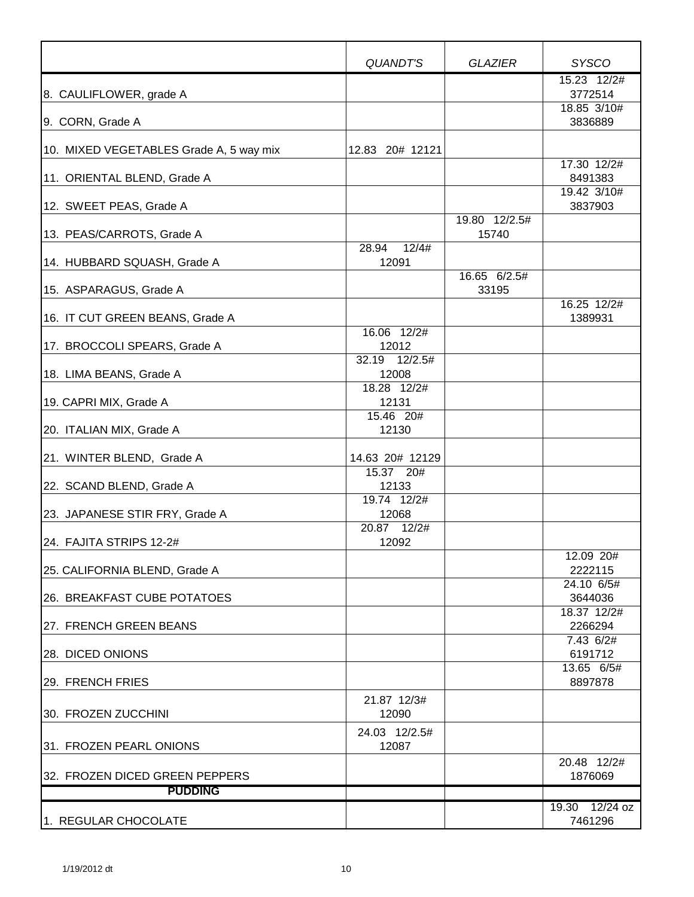|                                         | QUANDT'S               | <b>GLAZIER</b>        | <b>SYSCO</b>           |
|-----------------------------------------|------------------------|-----------------------|------------------------|
| 8. CAULIFLOWER, grade A                 |                        |                       | 15.23 12/2#<br>3772514 |
| 9. CORN, Grade A                        |                        |                       | 18.85 3/10#<br>3836889 |
| 10. MIXED VEGETABLES Grade A, 5 way mix | 12.83 20# 12121        |                       |                        |
| 11. ORIENTAL BLEND, Grade A             |                        |                       | 17.30 12/2#<br>8491383 |
| 12. SWEET PEAS, Grade A                 |                        |                       | 19.42 3/10#<br>3837903 |
|                                         |                        | 19.80 12/2.5#         |                        |
| 13. PEAS/CARROTS, Grade A               | 12/4#<br>28.94         | 15740                 |                        |
| 14. HUBBARD SQUASH, Grade A             | 12091                  |                       |                        |
| 15. ASPARAGUS, Grade A                  |                        | 16.65 6/2.5#<br>33195 |                        |
| 16. IT CUT GREEN BEANS, Grade A         |                        |                       | 16.25 12/2#<br>1389931 |
| 17. BROCCOLI SPEARS, Grade A            | 16.06 12/2#<br>12012   |                       |                        |
|                                         | 32.19 12/2.5#          |                       |                        |
| 18. LIMA BEANS, Grade A                 | 12008                  |                       |                        |
|                                         | 18.28 12/2#<br>12131   |                       |                        |
| 19. CAPRI MIX, Grade A                  | 15.46 20#              |                       |                        |
| 20. ITALIAN MIX, Grade A                | 12130                  |                       |                        |
| 21. WINTER BLEND, Grade A               | 14.63 20# 12129        |                       |                        |
| 22. SCAND BLEND, Grade A                | 15.37 20#<br>12133     |                       |                        |
| 23. JAPANESE STIR FRY, Grade A          | 19.74 12/2#<br>12068   |                       |                        |
|                                         | 20.87 12/2#            |                       |                        |
| 24. FAJITA STRIPS 12-2#                 | 12092                  |                       |                        |
| 25. CALIFORNIA BLEND, Grade A           |                        |                       | 12.09 20#<br>2222115   |
| 26. BREAKFAST CUBE POTATOES             |                        |                       | 24.10 6/5#<br>3644036  |
| 27. FRENCH GREEN BEANS                  |                        |                       | 18.37 12/2#<br>2266294 |
|                                         |                        |                       | 7.43 6/2#              |
| 28. DICED ONIONS                        |                        |                       | 6191712<br>13.65 6/5#  |
| 29. FRENCH FRIES                        |                        |                       | 8897878                |
| 30. FROZEN ZUCCHINI                     | 21.87 12/3#<br>12090   |                       |                        |
| 31. FROZEN PEARL ONIONS                 | 24.03 12/2.5#<br>12087 |                       |                        |
| 32. FROZEN DICED GREEN PEPPERS          |                        |                       | 20.48 12/2#<br>1876069 |
| <b>PUDDING</b>                          |                        |                       |                        |
|                                         |                        |                       | 19.30 12/24 oz         |
| 1. REGULAR CHOCOLATE                    |                        |                       | 7461296                |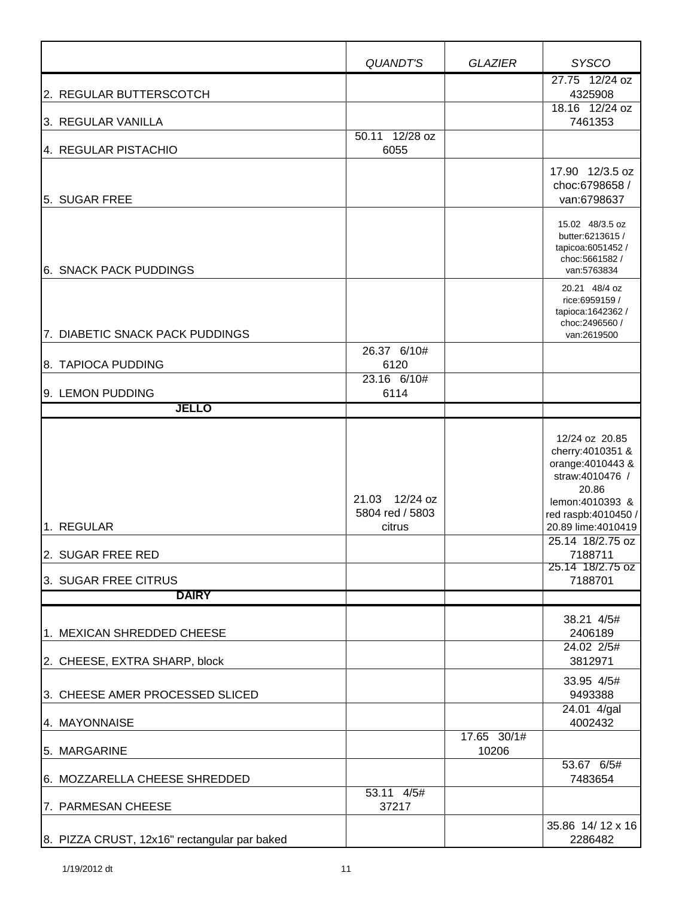|                                                                         | QUANDT'S                                    | <b>GLAZIER</b>       | <b>SYSCO</b>                                                                                                                                                                                                         |
|-------------------------------------------------------------------------|---------------------------------------------|----------------------|----------------------------------------------------------------------------------------------------------------------------------------------------------------------------------------------------------------------|
| 2. REGULAR BUTTERSCOTCH                                                 |                                             |                      | 27.75 12/24 oz<br>4325908<br>18.16 12/24 oz                                                                                                                                                                          |
| 3. REGULAR VANILLA                                                      | 50.11 12/28 oz                              |                      | 7461353                                                                                                                                                                                                              |
| 4. REGULAR PISTACHIO<br>5. SUGAR FREE                                   | 6055                                        |                      | 17.90 12/3.5 oz<br>choc:6798658 /<br>van:6798637                                                                                                                                                                     |
| 6. SNACK PACK PUDDINGS                                                  |                                             |                      | 15.02 48/3.5 oz<br>butter:6213615 /<br>tapicoa:6051452 /<br>choc:5661582/<br>van:5763834                                                                                                                             |
| 7. DIABETIC SNACK PACK PUDDINGS                                         |                                             |                      | 20.21 48/4 oz<br>rice:6959159 /<br>tapioca: 1642362 /<br>choc:2496560 /<br>van:2619500                                                                                                                               |
| 8. TAPIOCA PUDDING                                                      | 26.37 6/10#<br>6120                         |                      |                                                                                                                                                                                                                      |
| 9. LEMON PUDDING                                                        | $23.16$ 6/10#<br>6114                       |                      |                                                                                                                                                                                                                      |
| <b>JELLO</b>                                                            |                                             |                      |                                                                                                                                                                                                                      |
| 1. REGULAR<br>2. SUGAR FREE RED<br>3. SUGAR FREE CITRUS<br><b>DAIRY</b> | 21.03 12/24 oz<br>5804 red / 5803<br>citrus |                      | 12/24 oz 20.85<br>cherry: 4010351 &<br>orange: 4010443 &<br>straw:4010476 /<br>20.86<br>lemon: 4010393 &<br>red raspb:4010450 /<br>20.89 lime: 4010419<br>25.14 18/2.75 oz<br>7188711<br>25.14 18/2.75 oz<br>7188701 |
|                                                                         |                                             |                      |                                                                                                                                                                                                                      |
| 1. MEXICAN SHREDDED CHEESE<br>2. CHEESE, EXTRA SHARP, block             |                                             |                      | 38.21 4/5#<br>2406189<br>24.02 2/5#<br>3812971                                                                                                                                                                       |
| 3. CHEESE AMER PROCESSED SLICED                                         |                                             |                      | 33.95 4/5#<br>9493388<br>24.01 4/gal                                                                                                                                                                                 |
| 4. MAYONNAISE                                                           |                                             |                      | 4002432                                                                                                                                                                                                              |
| 5. MARGARINE                                                            |                                             | 17.65 30/1#<br>10206 | 53.67 6/5#                                                                                                                                                                                                           |
| 6. MOZZARELLA CHEESE SHREDDED                                           |                                             |                      | 7483654                                                                                                                                                                                                              |
| 7. PARMESAN CHEESE                                                      | 53.11 4/5#<br>37217                         |                      | 35.86 14/12 x 16                                                                                                                                                                                                     |
| 8. PIZZA CRUST, 12x16" rectangular par baked                            |                                             |                      | 2286482                                                                                                                                                                                                              |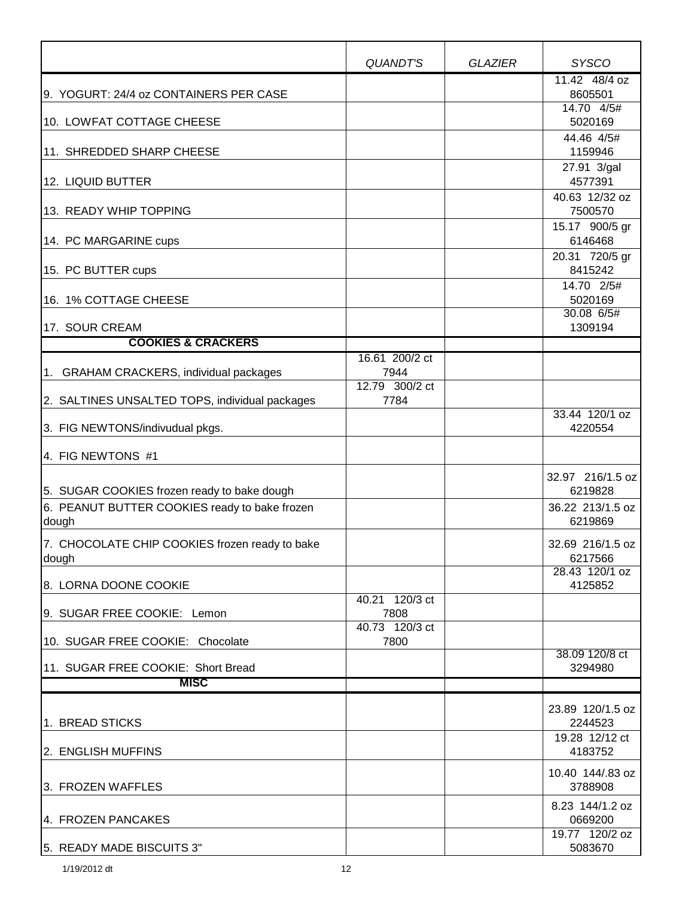|                                                | QUANDT'S                    | <b>GLAZIER</b> | <b>SYSCO</b>                |
|------------------------------------------------|-----------------------------|----------------|-----------------------------|
| 9. YOGURT: 24/4 oz CONTAINERS PER CASE         |                             |                | 11.42 48/4 oz<br>8605501    |
|                                                |                             |                | 14.70 4/5#                  |
| 10. LOWFAT COTTAGE CHEESE                      |                             |                | 5020169                     |
| 11. SHREDDED SHARP CHEESE                      |                             |                | 44.46 4/5#<br>1159946       |
|                                                |                             |                | 27.91 3/gal                 |
| 12. LIQUID BUTTER                              |                             |                | 4577391                     |
| 13. READY WHIP TOPPING                         |                             |                | 40.63 12/32 oz<br>7500570   |
| 14. PC MARGARINE cups                          |                             |                | 15.17 900/5 gr<br>6146468   |
|                                                |                             |                | 20.31 720/5 gr              |
| 15. PC BUTTER cups                             |                             |                | 8415242                     |
|                                                |                             |                | 14.70 2/5#                  |
| 16. 1% COTTAGE CHEESE                          |                             |                | 5020169<br>30.08 6/5#       |
| 17. SOUR CREAM                                 |                             |                | 1309194                     |
| <b>COOKIES &amp; CRACKERS</b>                  |                             |                |                             |
| 1. GRAHAM CRACKERS, individual packages        | 16.61 200/2 ct<br>7944      |                |                             |
|                                                | 12.79 300/2 ct              |                |                             |
| 2. SALTINES UNSALTED TOPS, individual packages | 7784                        |                |                             |
| 3. FIG NEWTONS/indivudual pkgs.                |                             |                | 33.44 120/1 oz<br>4220554   |
| 4. FIG NEWTONS #1                              |                             |                |                             |
|                                                |                             |                | 32.97 216/1.5 oz            |
| 5. SUGAR COOKIES frozen ready to bake dough    |                             |                | 6219828                     |
| 6. PEANUT BUTTER COOKIES ready to bake frozen  |                             |                | 36.22 213/1.5 oz            |
| dough                                          |                             |                | 6219869                     |
| 7. CHOCOLATE CHIP COOKIES frozen ready to bake |                             |                | 32.69 216/1.5 oz            |
| dough                                          |                             |                | 6217566<br>28.43 120/1 oz   |
| 8. LORNA DOONE COOKIE                          |                             |                | 4125852                     |
|                                                | $\overline{40.21}$ 120/3 ct |                |                             |
| 9. SUGAR FREE COOKIE: Lemon                    | 7808<br>40.73 120/3 ct      |                |                             |
| 10. SUGAR FREE COOKIE: Chocolate               | 7800                        |                |                             |
| 11. SUGAR FREE COOKIE: Short Bread             |                             |                | 38.09 120/8 ct<br>3294980   |
| <b>MISC</b>                                    |                             |                |                             |
|                                                |                             |                |                             |
| 1. BREAD STICKS                                |                             |                | 23.89 120/1.5 oz<br>2244523 |
| 2. ENGLISH MUFFINS                             |                             |                | 19.28 12/12 ct<br>4183752   |
|                                                |                             |                |                             |
| 3. FROZEN WAFFLES                              |                             |                | 10.40 144/.83 oz<br>3788908 |
| 4. FROZEN PANCAKES                             |                             |                | 8.23 144/1.2 oz<br>0669200  |
|                                                |                             |                | 19.77 120/2 oz              |
| 5. READY MADE BISCUITS 3"                      |                             |                | 5083670                     |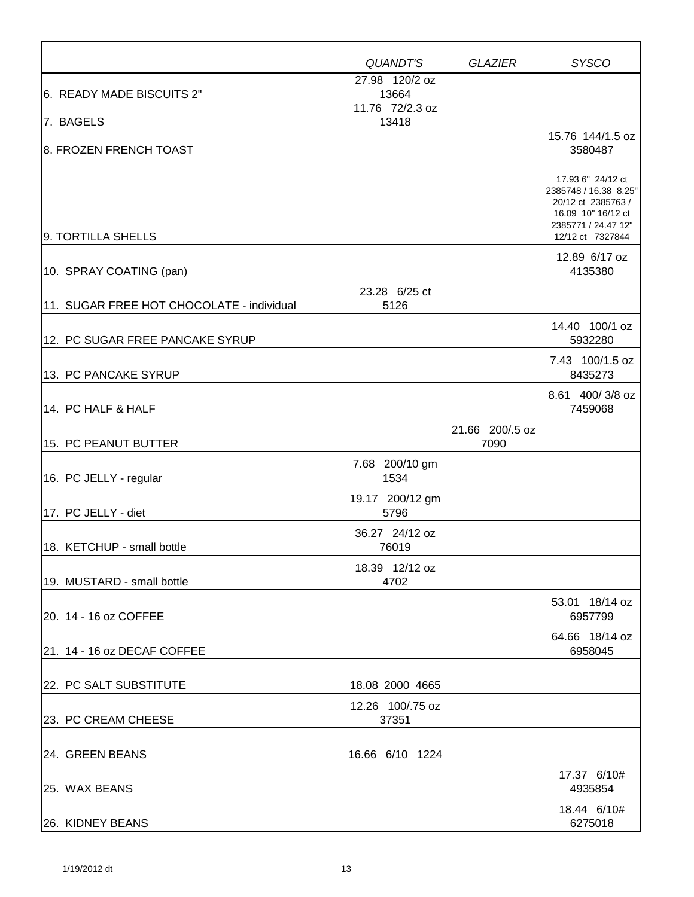|                                           | QUANDT'S                  | <b>GLAZIER</b>          | <b>SYSCO</b>                                                                                                                      |
|-------------------------------------------|---------------------------|-------------------------|-----------------------------------------------------------------------------------------------------------------------------------|
|                                           | 27.98 120/2 oz            |                         |                                                                                                                                   |
| 6. READY MADE BISCUITS 2"                 | 13664<br>11.76 72/2.3 oz  |                         |                                                                                                                                   |
| 7. BAGELS                                 | 13418                     |                         |                                                                                                                                   |
| 8. FROZEN FRENCH TOAST                    |                           |                         | 15.76 144/1.5 oz<br>3580487                                                                                                       |
| 9. TORTILLA SHELLS                        |                           |                         | 17.93 6" 24/12 ct<br>2385748 / 16.38 8.25"<br>20/12 ct 2385763 /<br>16.09 10" 16/12 ct<br>2385771 / 24.47 12"<br>12/12 ct 7327844 |
| 10. SPRAY COATING (pan)                   |                           |                         | 12.89 6/17 oz<br>4135380                                                                                                          |
| 11. SUGAR FREE HOT CHOCOLATE - individual | 23.28 6/25 ct<br>5126     |                         |                                                                                                                                   |
| 12. PC SUGAR FREE PANCAKE SYRUP           |                           |                         | 14.40 100/1 oz<br>5932280                                                                                                         |
| 13. PC PANCAKE SYRUP                      |                           |                         | 7.43 100/1.5 oz<br>8435273                                                                                                        |
| 14. PC HALF & HALF                        |                           |                         | 8.61 400/3/8 oz<br>7459068                                                                                                        |
| 15. PC PEANUT BUTTER                      |                           | 21.66 200/.5 oz<br>7090 |                                                                                                                                   |
| 16. PC JELLY - regular                    | 7.68 200/10 gm<br>1534    |                         |                                                                                                                                   |
| 17. PC JELLY - diet                       | 19.17 200/12 gm<br>5796   |                         |                                                                                                                                   |
| 18. KETCHUP - small bottle                | 36.27 24/12 oz<br>76019   |                         |                                                                                                                                   |
| 19. MUSTARD - small bottle                | 18.39 12/12 oz<br>4702    |                         |                                                                                                                                   |
| 20. 14 - 16 oz COFFEE                     |                           |                         | 53.01 18/14 oz<br>6957799                                                                                                         |
| 21. 14 - 16 oz DECAF COFFEE               |                           |                         | 64.66 18/14 oz<br>6958045                                                                                                         |
| 22. PC SALT SUBSTITUTE                    | 18.08 2000 4665           |                         |                                                                                                                                   |
| 23. PC CREAM CHEESE                       | 12.26 100/.75 oz<br>37351 |                         |                                                                                                                                   |
| 24. GREEN BEANS                           | 16.66 6/10 1224           |                         |                                                                                                                                   |
| 25. WAX BEANS                             |                           |                         | 17.37 6/10#<br>4935854                                                                                                            |
| 26. KIDNEY BEANS                          |                           |                         | 18.44 6/10#<br>6275018                                                                                                            |